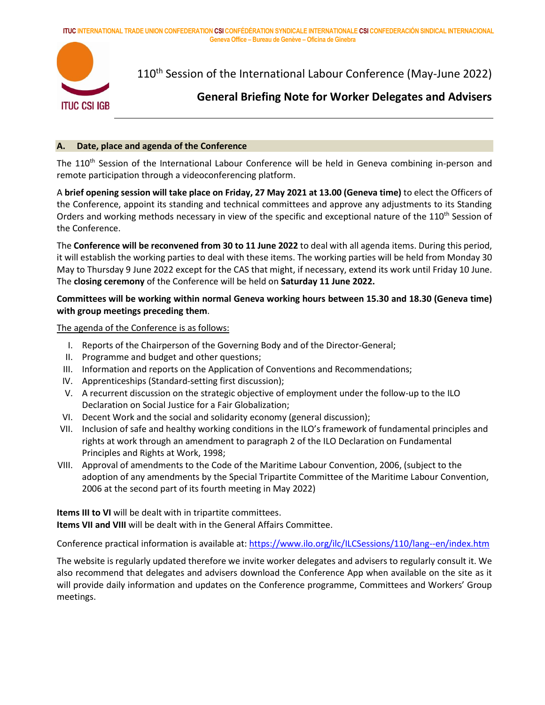**ITUC INTERNATIONAL TRADE UNION CONFEDERATION CSI CONFÉDÉRATION SYNDICALE INTERNATIONALE CSI CONFEDERACIÓN SINDICAL INTERNACIONAL Geneva Office – Bureau de Genève – Oficina de Ginebra**



110<sup>th</sup> Session of the International Labour Conference (May-June 2022)

# **General Briefing Note for Worker Delegates and Advisers**

#### **A. Date, place and agenda of the Conference**

The 110<sup>th</sup> Session of the International Labour Conference will be held in Geneva combining in-person and remote participation through a videoconferencing platform.

A **brief opening session will take place on Friday, 27 May 2021 at 13.00 (Geneva time)** to elect the Officers of the Conference, appoint its standing and technical committees and approve any adjustments to its Standing Orders and working methods necessary in view of the specific and exceptional nature of the 110<sup>th</sup> Session of the Conference.

The **Conference will be reconvened from 30 to 11 June 2022** to deal with all agenda items. During this period, it will establish the working parties to deal with these items. The working parties will be held from Monday 30 May to Thursday 9 June 2022 except for the CAS that might, if necessary, extend its work until Friday 10 June. The **closing ceremony** of the Conference will be held on **Saturday 11 June 2022.**

# **Committees will be working within normal Geneva working hours between 15.30 and 18.30 (Geneva time) with group meetings preceding them**.

The agenda of the Conference is as follows:

- I. Reports of the Chairperson of the Governing Body and of the Director-General;
- II. Programme and budget and other questions;
- III. Information and reports on the Application of Conventions and Recommendations;
- IV. Apprenticeships (Standard-setting first discussion);
- V. A recurrent discussion on the strategic objective of employment under the follow-up to the ILO Declaration on Social Justice for a Fair Globalization;
- VI. Decent Work and the social and solidarity economy (general discussion);
- VII. Inclusion of safe and healthy working conditions in the ILO's framework of fundamental principles and rights at work through an amendment to paragraph 2 of the ILO Declaration on Fundamental Principles and Rights at Work, 1998;
- VIII. Approval of amendments to the Code of the Maritime Labour Convention, 2006, (subject to the adoption of any amendments by the Special Tripartite Committee of the Maritime Labour Convention, 2006 at the second part of its fourth meeting in May 2022)

**Items III to VI** will be dealt with in tripartite committees. **Items VII and VIII** will be dealt with in the General Affairs Committee.

Conference practical information is available at:<https://www.ilo.org/ilc/ILCSessions/110/lang--en/index.htm>

The website is regularly updated therefore we invite worker delegates and advisers to regularly consult it. We also recommend that delegates and advisers download the Conference App when available on the site as it will provide daily information and updates on the Conference programme, Committees and Workers' Group meetings.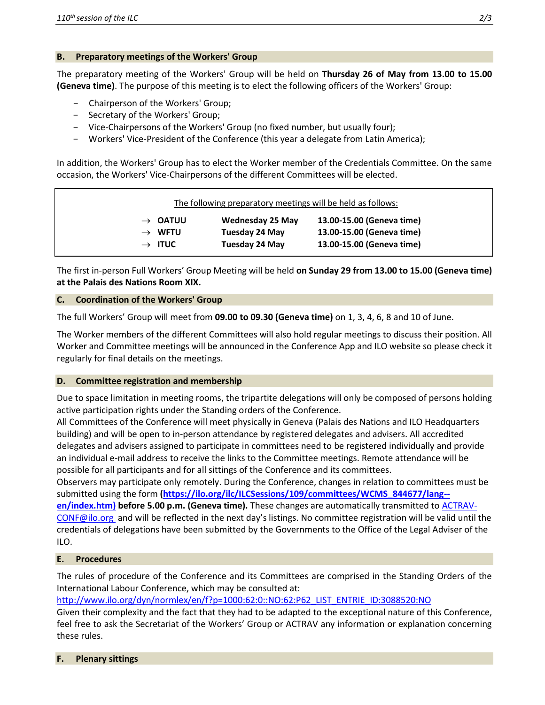## **B. Preparatory meetings of the Workers' Group**

The preparatory meeting of the Workers' Group will be held on **Thursday 26 of May from 13.00 to 15.00 (Geneva time)**. The purpose of this meeting is to elect the following officers of the Workers' Group:

- Chairperson of the Workers' Group;
- Secretary of the Workers' Group;
- Vice-Chairpersons of the Workers' Group (no fixed number, but usually four);
- Workers' Vice-President of the Conference (this year a delegate from Latin America);

In addition, the Workers' Group has to elect the Worker member of the Credentials Committee. On the same occasion, the Workers' Vice-Chairpersons of the different Committees will be elected.

|                     | The following preparatory meetings will be held as follows: |                           |
|---------------------|-------------------------------------------------------------|---------------------------|
| $\rightarrow$ OATUU | <b>Wednesday 25 May</b>                                     | 13.00-15.00 (Geneva time) |
| $\rightarrow$ WFTU  | Tuesday 24 May                                              | 13.00-15.00 (Geneva time) |
| $\rightarrow$ ITUC  | Tuesday 24 May                                              | 13.00-15.00 (Geneva time) |

The first in-person Full Workers' Group Meeting will be held **on Sunday 29 from 13.00 to 15.00 (Geneva time) at the Palais des Nations Room XIX.**

## **C. Coordination of the Workers' Group**

The full Workers' Group will meet from **09.00 to 09.30 (Geneva time)** on 1, 3, 4, 6, 8 and 10 of June.

The Worker members of the different Committees will also hold regular meetings to discuss their position. All Worker and Committee meetings will be announced in the Conference App and ILO website so please check it regularly for final details on the meetings.

### **D. Committee registration and membership**

Due to space limitation in meeting rooms, the tripartite delegations will only be composed of persons holding active participation rights under the Standing orders of the Conference.

All Committees of the Conference will meet physically in Geneva (Palais des Nations and ILO Headquarters building) and will be open to in-person attendance by registered delegates and advisers. All accredited delegates and advisers assigned to participate in committees need to be registered individually and provide an individual e-mail address to receive the links to the Committee meetings. Remote attendance will be possible for all participants and for all sittings of the Conference and its committees.

Observers may participate only remotely. During the Conference, changes in relation to committees must be submitted using the form **[\(https://ilo.org/ilc/ILCSessions/109/committees/WCMS\\_844677/lang--](https://ilo.org/ilc/ILCSessions/109/committees/WCMS_844677/lang--en/index.htm))**

**[en/index.htm\)](https://ilo.org/ilc/ILCSessions/109/committees/WCMS_844677/lang--en/index.htm)) before 5.00 p.m. (Geneva time).** These changes are automatically transmitted to [ACTRAV-](mailto:ACTRAV-CONF@ilo.org)[CONF@ilo.org](mailto:ACTRAV-CONF@ilo.org) and will be reflected in the next day's listings. No committee registration will be valid until the credentials of delegations have been submitted by the Governments to the Office of the Legal Adviser of the ILO.

# **E. Procedures**

The rules of procedure of the Conference and its Committees are comprised in the Standing Orders of the International Labour Conference, which may be consulted at:

[http://www.ilo.org/dyn/normlex/en/f?p=1000:62:0::NO:62:P62\\_LIST\\_ENTRIE\\_ID:3088520:NO](http://www.ilo.org/dyn/normlex/en/f?p=1000:62:0::NO:62:P62_LIST_ENTRIE_ID:3088520:NO)

Given their complexity and the fact that they had to be adapted to the exceptional nature of this Conference, feel free to ask the Secretariat of the Workers' Group or ACTRAV any information or explanation concerning these rules.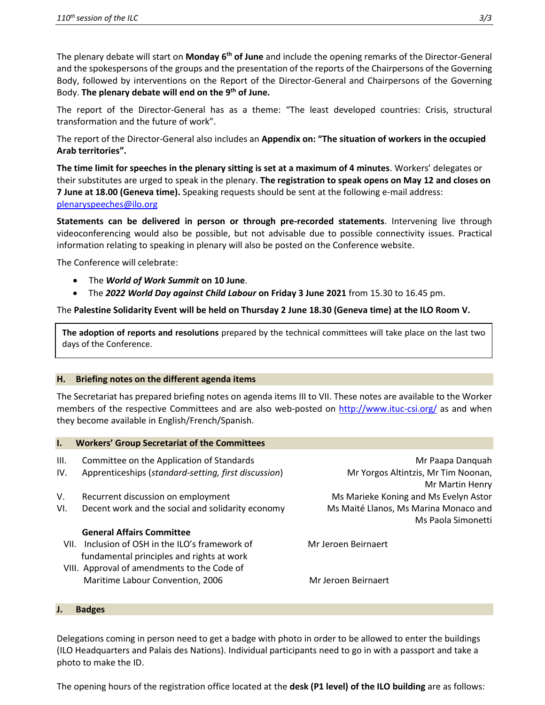The plenary debate will start on **Monday 6<sup>th</sup> of June** and include the opening remarks of the Director-General and the spokespersons of the groups and the presentation of the reports of the Chairpersons of the Governing Body, followed by interventions on the Report of the Director-General and Chairpersons of the Governing Body. The plenary debate will end on the 9<sup>th</sup> of June.

The report of the Director-General has as a theme: "The least developed countries: Crisis, structural transformation and the future of work".

The report of the Director-General also includes an **Appendix on: "The situation of workers in the occupied Arab territories".**

**The time limit for speeches in the plenary sitting is set at a maximum of 4 minutes**. Workers' delegates or their substitutes are urged to speak in the plenary. **The registration to speak opens on May 12 and closes on 7 June at 18.00 (Geneva time).** Speaking requests should be sent at the following e-mail address: [plenaryspeeches@ilo.org](mailto:plenaryspeeches@ilo.org)

**Statements can be delivered in person or through pre-recorded statements**. Intervening live through videoconferencing would also be possible, but not advisable due to possible connectivity issues. Practical information relating to speaking in plenary will also be posted on the Conference website.

The Conference will celebrate:

- The *World of Work Summit* **on 10 June**.
- The *2022 World Day against Child Labour* **on Friday 3 June 2021** from 15.30 to 16.45 pm.

The **Palestine Solidarity Event will be held on Thursday 2 June 18.30 (Geneva time) at the ILO Room V.**

**The adoption of reports and resolutions** prepared by the technical committees will take place on the last two days of the Conference.

### **H. Briefing notes on the different agenda items**

The Secretariat has prepared briefing notes on agenda items III to VII. These notes are available to the Worker members of the respective Committees and are also web-posted on<http://www.ituc-csi.org/> as and when they become available in English/French/Spanish.

| $\mathbf{l}$ . | <b>Workers' Group Secretariat of the Committees</b>  |                                       |
|----------------|------------------------------------------------------|---------------------------------------|
| III.           | Committee on the Application of Standards            | Mr Paapa Danguah                      |
| IV.            | Apprenticeships (standard-setting, first discussion) | Mr Yorgos Altintzis, Mr Tim Noonan,   |
|                |                                                      | Mr Martin Henry                       |
| V.             | Recurrent discussion on employment                   | Ms Marieke Koning and Ms Evelyn Astor |
| VI.            | Decent work and the social and solidarity economy    | Ms Maité Llanos, Ms Marina Monaco and |
|                |                                                      | Ms Paola Simonetti                    |
|                | <b>General Affairs Committee</b>                     |                                       |
|                | VII. Inclusion of OSH in the ILO's framework of      | Mr Jeroen Beirnaert                   |
|                | fundamental principles and rights at work            |                                       |
|                | VIII. Approval of amendments to the Code of          |                                       |
|                | Maritime Labour Convention, 2006                     | Mr Jeroen Beirnaert                   |

#### **J. Badges**

Delegations coming in person need to get a badge with photo in order to be allowed to enter the buildings (ILO Headquarters and Palais des Nations). Individual participants need to go in with a passport and take a photo to make the ID.

The opening hours of the registration office located at the **desk (P1 level) of the ILO building** are as follows: